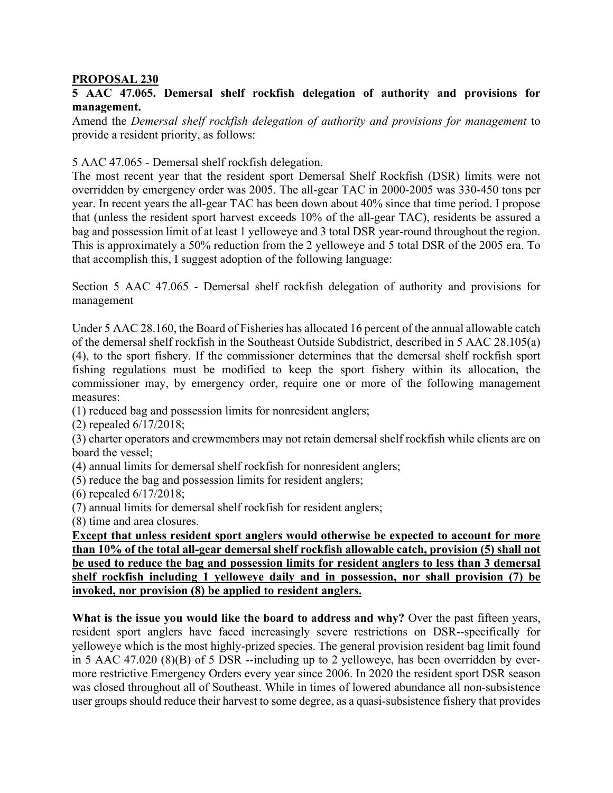## **PROPOSAL 230**

## **5 AAC 47.065. Demersal shelf rockfish delegation of authority and provisions for management.**

Amend the *Demersal shelf rockfish delegation of authority and provisions for management* to provide a resident priority, as follows:

5 AAC 47.065 - Demersal shelf rockfish delegation.

The most recent year that the resident sport Demersal Shelf Rockfish (DSR) limits were not overridden by emergency order was 2005. The all-gear TAC in 2000-2005 was 330-450 tons per year. In recent years the all-gear TAC has been down about 40% since that time period. I propose that (unless the resident sport harvest exceeds 10% of the all-gear TAC), residents be assured a bag and possession limit of at least 1 yelloweye and 3 total DSR year-round throughout the region. This is approximately a 50% reduction from the 2 yelloweye and 5 total DSR of the 2005 era. To that accomplish this, I suggest adoption of the following language:

Section 5 AAC 47.065 - Demersal shelf rockfish delegation of authority and provisions for management

Under 5 AAC 28.160, the Board of Fisheries has allocated 16 percent of the annual allowable catch of the demersal shelf rockfish in the Southeast Outside Subdistrict, described in 5 AAC 28.105(a) (4), to the sport fishery. If the commissioner determines that the demersal shelf rockfish sport fishing regulations must be modified to keep the sport fishery within its allocation, the commissioner may, by emergency order, require one or more of the following management measures:

(1) reduced bag and possession limits for nonresident anglers;

(2) repealed 6/17/2018;

(3) charter operators and crewmembers may not retain demersal shelf rockfish while clients are on board the vessel;

(4) annual limits for demersal shelf rockfish for nonresident anglers;

(5) reduce the bag and possession limits for resident anglers;

(6) repealed 6/17/2018;

(7) annual limits for demersal shelf rockfish for resident anglers;

(8) time and area closures.

**Except that unless resident sport anglers would otherwise be expected to account for more than 10% of the total all-gear demersal shelf rockfish allowable catch, provision (5) shall not be used to reduce the bag and possession limits for resident anglers to less than 3 demersal shelf rockfish including 1 yelloweye daily and in possession, nor shall provision (7) be invoked, nor provision (8) be applied to resident anglers.**

What is the issue you would like the board to address and why? Over the past fifteen years, resident sport anglers have faced increasingly severe restrictions on DSR--specifically for yelloweye which is the most highly-prized species. The general provision resident bag limit found in 5 AAC 47.020 (8)(B) of 5 DSR --including up to 2 yelloweye, has been overridden by evermore restrictive Emergency Orders every year since 2006. In 2020 the resident sport DSR season was closed throughout all of Southeast. While in times of lowered abundance all non-subsistence user groups should reduce their harvest to some degree, as a quasi-subsistence fishery that provides